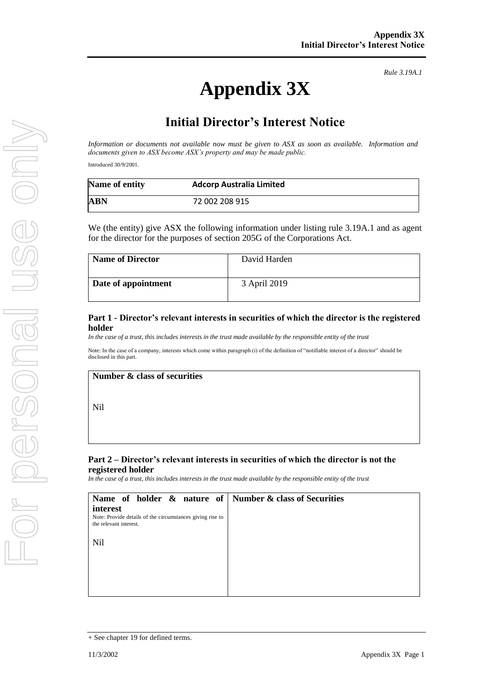# **Appendix 3X**

*Rule 3.19A.1*

## **Initial Director's Interest Notice**

*Information or documents not available now must be given to ASX as soon as available. Information and documents given to ASX become ASX's property and may be made public.*

Introduced 30/9/2001.

| Name of entity | <b>Adcorp Australia Limited</b> |  |
|----------------|---------------------------------|--|
| ABN            | 72 002 208 915                  |  |

We (the entity) give ASX the following information under listing rule 3.19A.1 and as agent for the director for the purposes of section 205G of the Corporations Act.

| <b>Name of Director</b> | David Harden |
|-------------------------|--------------|
| Date of appointment     | 3 April 2019 |

#### **Part 1 - Director's relevant interests in securities of which the director is the registered holder**

*In the case of a trust, this includes interests in the trust made available by the responsible entity of the trust* 

Note: In the case of a company, interests which come within paragraph (i) of the definition of "notifiable interest of a director" should be disclosed in this part.

#### **Number & class of securities**

Nil

#### **Part 2 – Director's relevant interests in securities of which the director is not the registered holder**

*In the case of a trust, this includes interests in the trust made available by the responsible entity of the trust*

| Name of holder $\&$ nature of Number $\&$ class of Securities                       |  |
|-------------------------------------------------------------------------------------|--|
| interest                                                                            |  |
| Note: Provide details of the circumstances giving rise to<br>the relevant interest. |  |
| Nil                                                                                 |  |
|                                                                                     |  |
|                                                                                     |  |
|                                                                                     |  |

<sup>+</sup> See chapter 19 for defined terms.